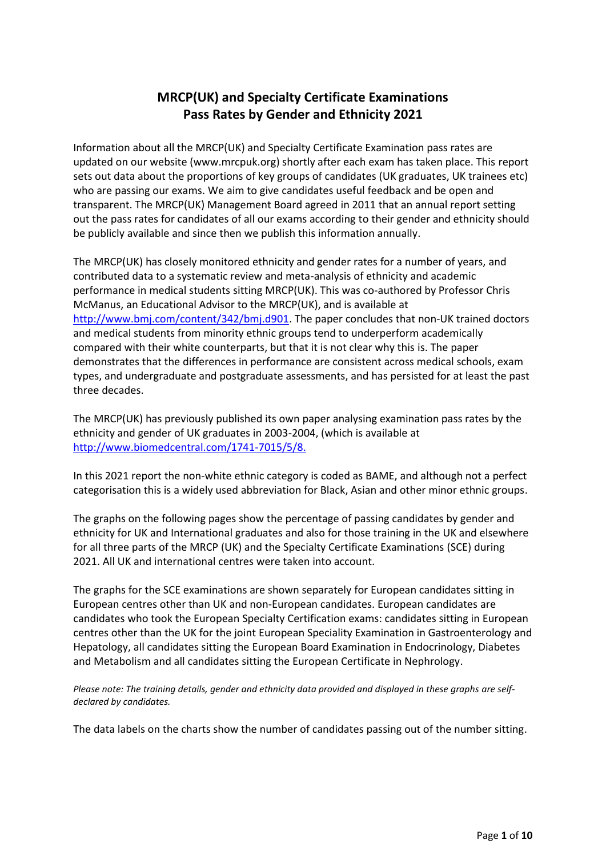## **MRCP(UK) and Specialty Certificate Examinations Pass Rates by Gender and Ethnicity 2021**

Information about all the MRCP(UK) and Specialty Certificate Examination pass rates are updated on our website (www.mrcpuk.org) shortly after each exam has taken place. This report sets out data about the proportions of key groups of candidates (UK graduates, UK trainees etc) who are passing our exams. We aim to give candidates useful feedback and be open and transparent. The MRCP(UK) Management Board agreed in 2011 that an annual report setting out the pass rates for candidates of all our exams according to their gender and ethnicity should be publicly available and since then we publish this information annually.

The MRCP(UK) has closely monitored ethnicity and gender rates for a number of years, and contributed data to a systematic review and meta-analysis of ethnicity and academic performance in medical students sitting MRCP(UK). This was co-authored by Professor Chris McManus, an Educational Advisor to the MRCP(UK), and is available at [http://www.bmj.com/content/342/bmj.d901.](http://www.bmj.com/content/342/bmj.d901) The paper concludes that non-UK trained doctors and medical students from minority ethnic groups tend to underperform academically compared with their white counterparts, but that it is not clear why this is. The paper demonstrates that the differences in performance are consistent across medical schools, exam types, and undergraduate and postgraduate assessments, and has persisted for at least the past three decades.

The MRCP(UK) has previously published its own paper analysing examination pass rates by the ethnicity and gender of UK graduates in 2003-2004, (which is available at [http://www.biomedcentral.com/1741-7015/5/8.](http://www.biomedcentral.com/1741-7015/5/8)

In this 2021 report the non-white ethnic category is coded as BAME, and although not a perfect categorisation this is a widely used abbreviation for Black, Asian and other minor ethnic groups.

The graphs on the following pages show the percentage of passing candidates by gender and ethnicity for UK and International graduates and also for those training in the UK and elsewhere for all three parts of the MRCP (UK) and the Specialty Certificate Examinations (SCE) during 2021. All UK and international centres were taken into account.

The graphs for the SCE examinations are shown separately for European candidates sitting in European centres other than UK and non-European candidates. European candidates are candidates who took the European Specialty Certification exams: candidates sitting in European centres other than the UK for the joint European Speciality Examination in Gastroenterology and Hepatology, all candidates sitting the European Board Examination in Endocrinology, Diabetes and Metabolism and all candidates sitting the European Certificate in Nephrology.

*Please note: The training details, gender and ethnicity data provided and displayed in these graphs are selfdeclared by candidates.*

The data labels on the charts show the number of candidates passing out of the number sitting.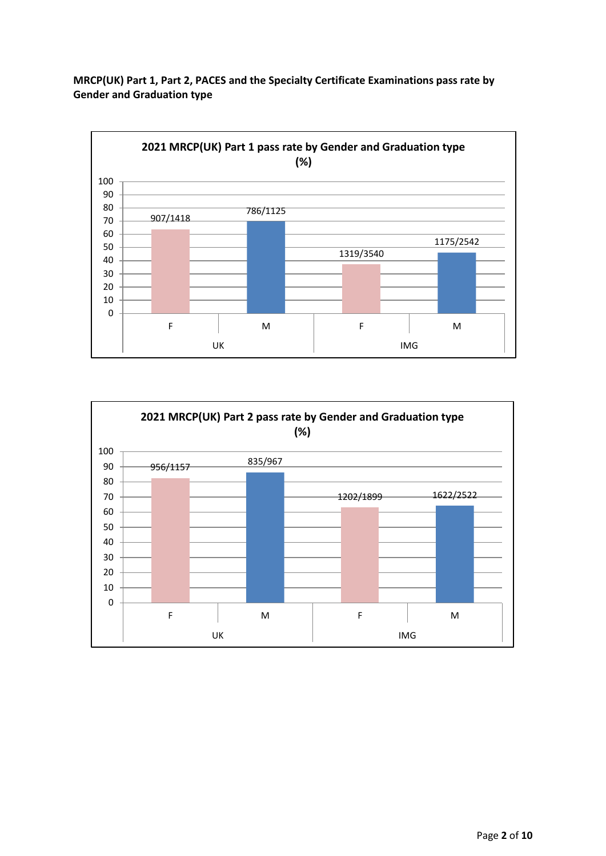**MRCP(UK) Part 1, Part 2, PACES and the Specialty Certificate Examinations pass rate by Gender and Graduation type**



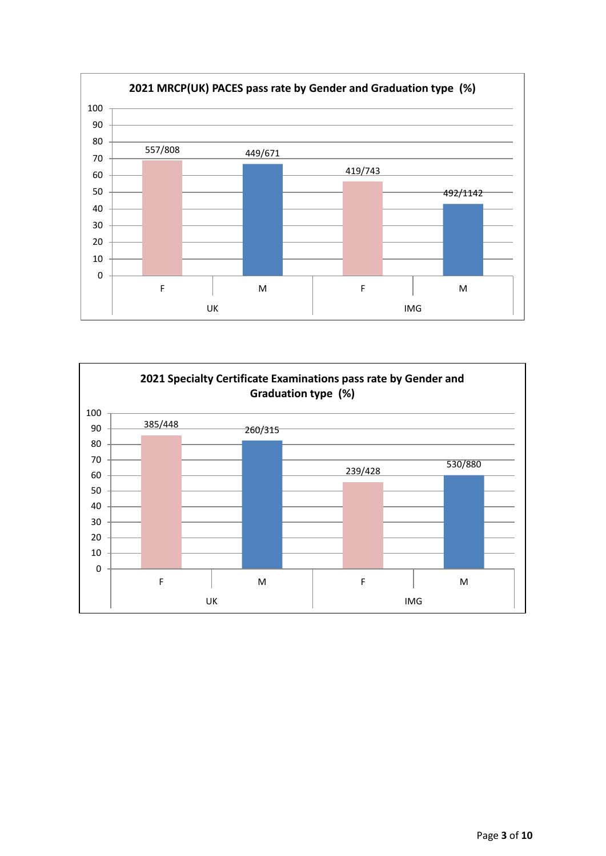

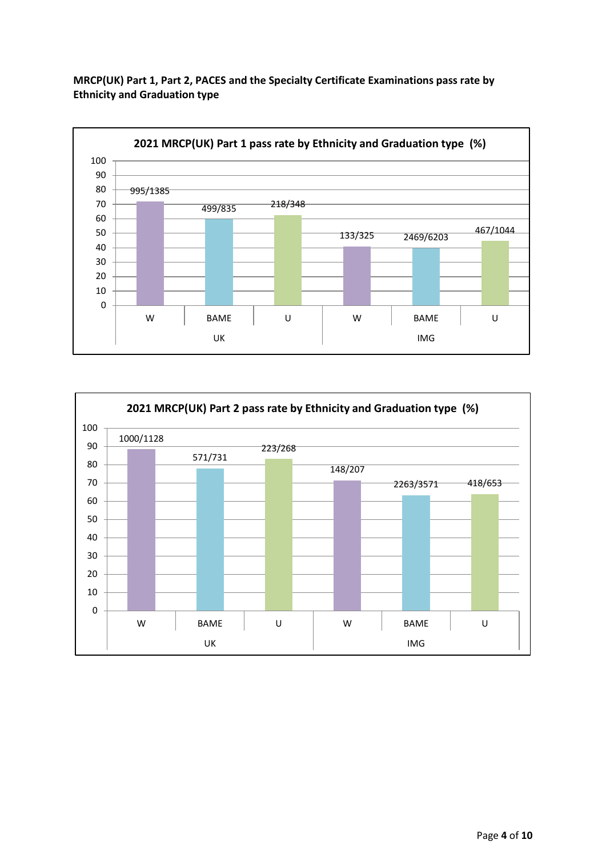**MRCP(UK) Part 1, Part 2, PACES and the Specialty Certificate Examinations pass rate by Ethnicity and Graduation type**



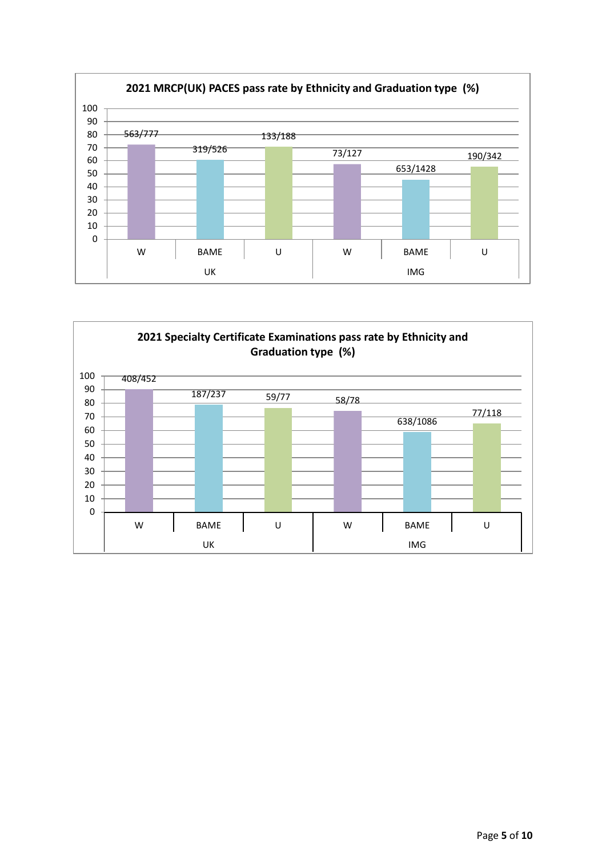

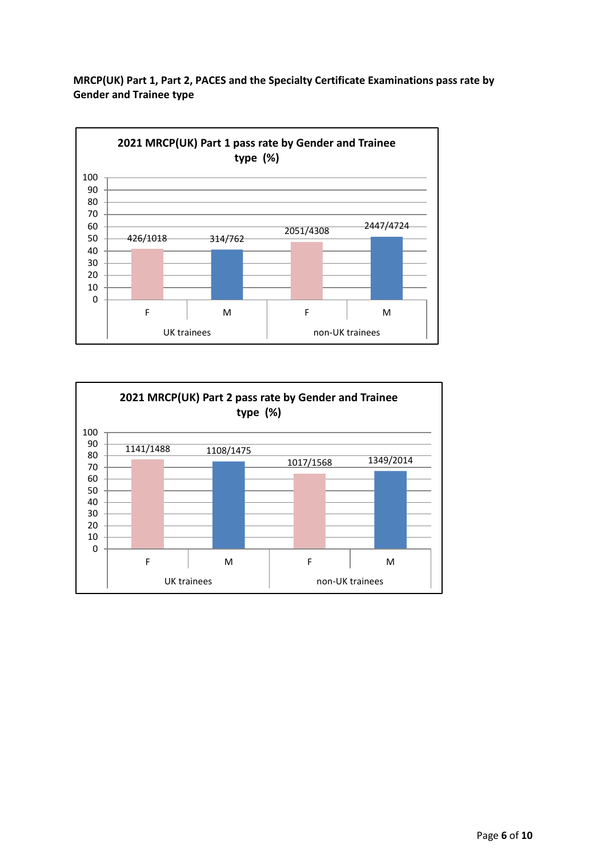**MRCP(UK) Part 1, Part 2, PACES and the Specialty Certificate Examinations pass rate by Gender and Trainee type**



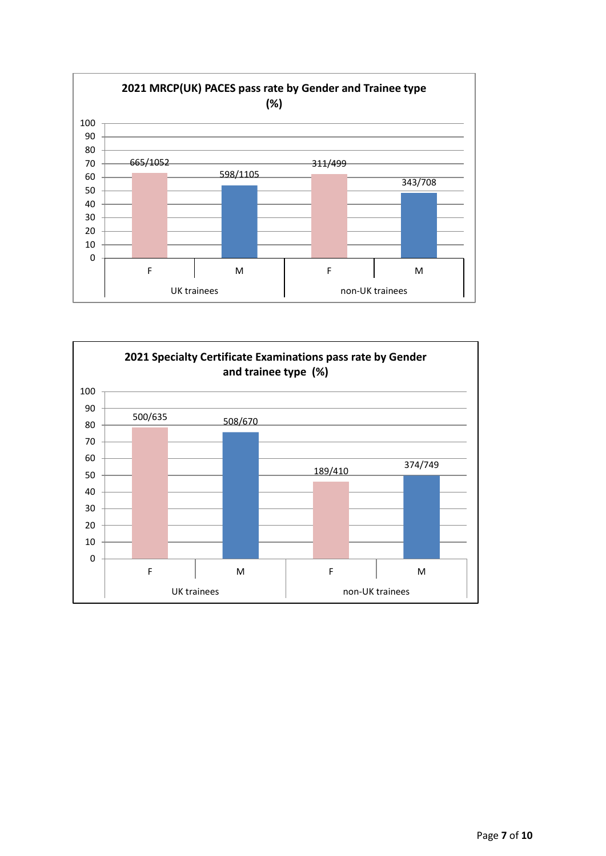

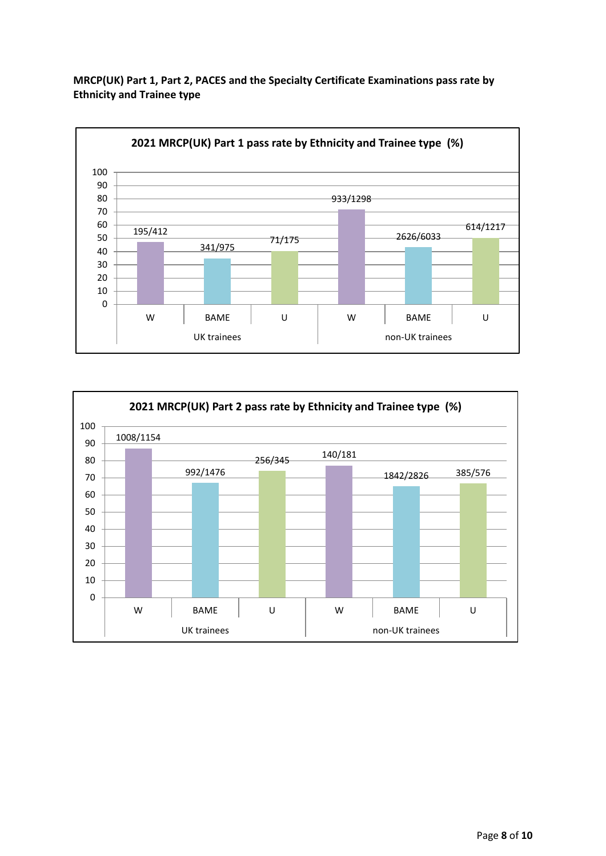**MRCP(UK) Part 1, Part 2, PACES and the Specialty Certificate Examinations pass rate by Ethnicity and Trainee type**



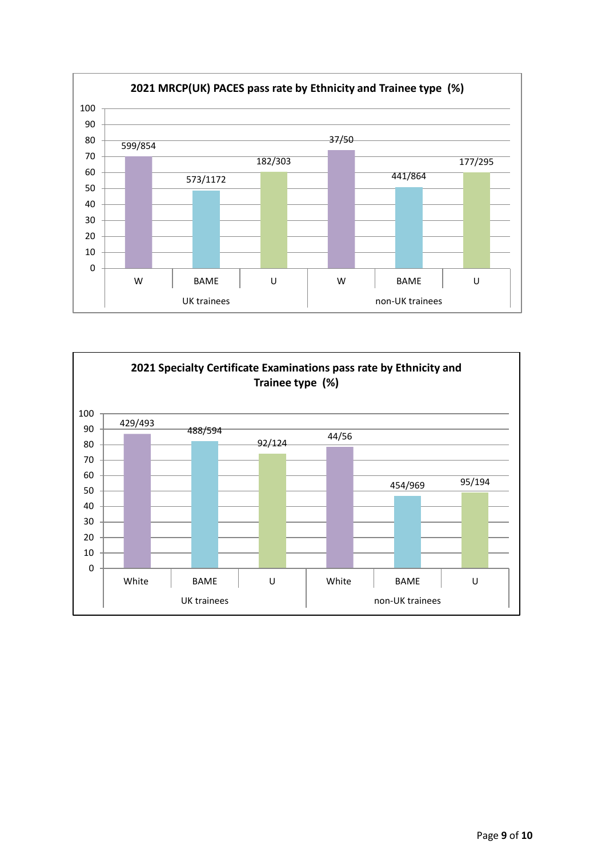